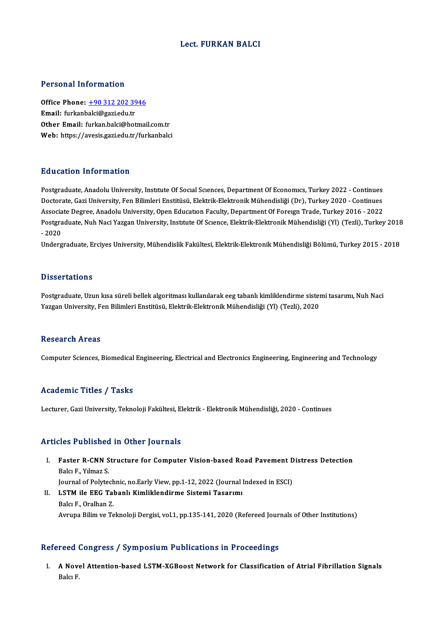# Lect. FURKAN BALCI

### Personal Information

Personal Information<br>Office Phone: <u>+90 312 202 3946</u><br>Email: furkanbaki@sariedu.tr Fersonar missimation<br>Office Phone: <u>+90 312 202 39</u><br>Email: furkanb[alci@gazi.edu.tr](tel:+90 312 202 3946) Office Phone: <u>+90 312 202 3946</u><br>Email: furkanbalci@gazi.edu.tr<br>Other Email: furkan.balci@hotmail.com.tr Email: furkanbalci@gazi.edu.tr<br>Other Email: furkan.balci@hotmail.com.tr<br>Web: https://avesis.gazi.edu.tr/furkanbalci

# Education Information

Education Information<br>Postgraduate, Anadolu University, Institute Of Social Sciences, Department Of Economics, Turkey 2022 - Continues<br>Destarate Cari University, Fon Bilimleri Enstitüsü, Flektrik Flektronik Mühandisliği (D Du u custori Tirrot inustori<br>Postgraduate, Anadolu University, Institute Of Social Sciences, Department Of Economics, Turkey 2022 - Continues<br>Doctorate, Gazi University, Fen Bilimleri Enstitüsü, Elektrik-Elektronik Mühendi Postgraduate, Anadolu University, Institute Of Social Sciences, Department Of Economics, Turkey 2022 - Continues<br>Doctorate, Gazi University, Fen Bilimleri Enstitüsü, Elektrik-Elektronik Mühendisliği (Dr), Turkey 2020 - Con Doctorate, Gazi University, Fen Bilimleri Enstitüsü, Elektrik-Elektronik Mühendisliği (Dr), Turkey 2020 - Continues<br>Associate Degree, Anadolu University, Open Education Faculty, Department Of Foreign Trade, Turkey 2016 - 2 Associate Degree, Anadolu University, Open Education Faculty, Department Of Foreign Trade, Turkey 2016 - 2022<br>Postgraduate, Nuh Naci Yazgan University, Institute Of Science, Elektrik-Elektronik Mühendisliği (Yl) (Tezli), T Postgraduate, Nuh Naci Yazgan University, Institute Of Science, Elektrik-Elektronik Mühendisliği (Yl) (Tezli), Turkey 2018

### **Dissertations**

Postgraduate, Uzun kısa süreli bellek algoritması kullanılarak eeg tabanlı kimliklendirme sistemi tasarımı, Nuh Naci Yazgan University, Fen Bilimleri Enstitüsü, Elektrik-Elektronik Mühendisliği (Yl) (Tezli), 2020

### Research Areas

Computer Sciences, Biomedical Engineering, Electrical and Electronics Engineering, Engineering and Technology

# Academic Titles / Tasks

Lecturer, Gazi University, Teknoloji Fakültesi, Elektrik - Elektronik Mühendisliği, 2020 - Continues

### Articles Published in Other Journals

- rticles Published in Other Journals<br>I. Faster R-CNN Structure for Computer Vision-based Road Pavement Distress Detection<br>Rols: E. Vimar S Faster R-CNN<br>Faster R-CNN S<br>Balcı F., Yılmaz S.<br>Journal of Bolyte Faster R-CNN Structure for Computer Vision-based Road Pavement D<br>Balcı F., Yılmaz S.<br>Journal of Polytechnic, no.Early View, pp.1-12, 2022 (Journal Indexed in ESCI)<br>LSTM ile EEC Tebanlı Kimliklendirme Sistemi Tesarum. Balcı F., Yılmaz S.<br>Iournal of Polytechnic, no.Early View, pp.1-12, 2022 (Journal l<br>II. LSTM ile EEG Tabanlı Kimliklendirme Sistemi Tasarımı<br>Pelsu E. Oralban Z
- Journal of Polytech<br>**LSTM ile EEG Tal**<br>Balcı F., Oralhan Z.<br>Armuno Bilim ve To II. LSTM ile EEG Tabanlı Kimliklendirme Sistemi Tasarımı<br>Balcı F., Oralhan Z.<br>Avrupa Bilim ve Teknoloji Dergisi, vol.1, pp.135-141, 2020 (Refereed Journals of Other Institutions)

### Refereed Congress / Symposium Publications in Proceedings

efereed Congress / Symposium Publications in Proceedings<br>I. A Novel Attention-based LSTM-XGBoost Network for Classification of Atrial Fibrillation Signals<br>Relar F A Nove<br>Balcı F.